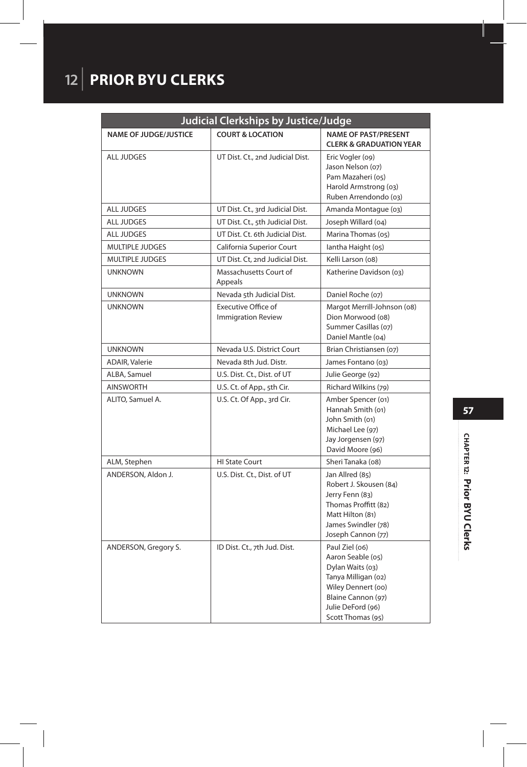## **12** | **PRIOR BYU CLERKS**

| Judicial Clerkships by Justice/Judge |                                                         |                                                                                                                                                                      |
|--------------------------------------|---------------------------------------------------------|----------------------------------------------------------------------------------------------------------------------------------------------------------------------|
| <b>NAME OF JUDGE/JUSTICE</b>         | <b>COURT &amp; LOCATION</b>                             | <b>NAME OF PAST/PRESENT</b><br><b>CLERK &amp; GRADUATION YEAR</b>                                                                                                    |
| <b>ALL JUDGES</b>                    | UT Dist. Ct., 2nd Judicial Dist.                        | Eric Vogler (09)<br>Jason Nelson (07)<br>Pam Mazaheri (05)<br>Harold Armstrong (03)<br>Ruben Arrendondo (03)                                                         |
| <b>ALL JUDGES</b>                    | UT Dist. Ct., 3rd Judicial Dist.                        | Amanda Montague (03)                                                                                                                                                 |
| <b>ALL JUDGES</b>                    | UT Dist. Ct., 5th Judicial Dist.                        | Joseph Willard (04)                                                                                                                                                  |
| <b>ALL JUDGES</b>                    | UT Dist. Ct. 6th Judicial Dist.                         | Marina Thomas (05)                                                                                                                                                   |
| <b>MULTIPLE JUDGES</b>               | California Superior Court                               | lantha Haight (05)                                                                                                                                                   |
| <b>MULTIPLE JUDGES</b>               | UT Dist. Ct. 2nd Judicial Dist.                         | Kelli Larson (08)                                                                                                                                                    |
| <b>UNKNOWN</b>                       | Massachusetts Court of<br>Appeals                       | Katherine Davidson (03)                                                                                                                                              |
| <b>UNKNOWN</b>                       | Nevada 5th Judicial Dist.                               | Daniel Roche (07)                                                                                                                                                    |
| <b>UNKNOWN</b>                       | <b>Executive Office of</b><br><b>Immigration Review</b> | Margot Merrill-Johnson (08)<br>Dion Morwood (08)<br>Summer Casillas (07)<br>Daniel Mantle (04)                                                                       |
| <b>UNKNOWN</b>                       | Nevada U.S. District Court                              | Brian Christiansen (07)                                                                                                                                              |
| <b>ADAIR, Valerie</b>                | Nevada 8th Jud. Distr.                                  | James Fontano (03)                                                                                                                                                   |
| ALBA, Samuel                         | U.S. Dist. Ct., Dist. of UT                             | Julie George (92)                                                                                                                                                    |
| <b>AINSWORTH</b>                     | U.S. Ct. of App., 5th Cir.                              | Richard Wilkins (79)                                                                                                                                                 |
| ALITO, Samuel A.                     | U.S. Ct. Of App., 3rd Cir.                              | Amber Spencer (01)<br>Hannah Smith (01)<br>John Smith (01)<br>Michael Lee (97)<br>Jay Jorgensen (97)<br>David Moore (96)                                             |
| ALM, Stephen                         | <b>HI State Court</b>                                   | Sheri Tanaka (08)                                                                                                                                                    |
| ANDERSON, Aldon J.                   | U.S. Dist. Ct., Dist. of UT                             | Jan Allred (85)<br>Robert J. Skousen (84)<br>Jerry Fenn (83)<br>Thomas Proffitt (82)<br>Matt Hilton (81)<br>James Swindler (78)<br>Joseph Cannon (77)                |
| ANDERSON, Gregory S.                 | ID Dist. Ct., 7th Jud. Dist.                            | Paul Ziel (06)<br>Aaron Seable (05)<br>Dylan Waits (03)<br>Tanya Milligan (02)<br>Wiley Dennert (oo)<br>Blaine Cannon (97)<br>Julie DeFord (96)<br>Scott Thomas (95) |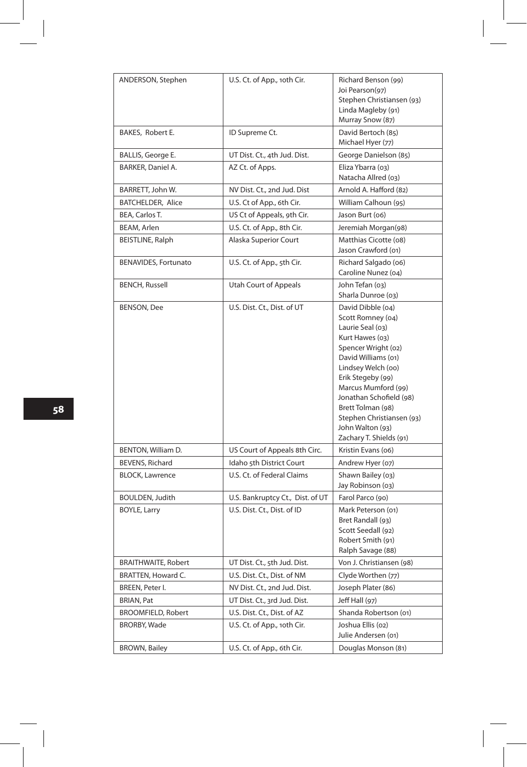| ANDERSON, Stephen           | U.S. Ct. of App., 10th Cir.      | Richard Benson (99)<br>Joi Pearson(97)<br>Stephen Christiansen (93)<br>Linda Magleby (91)<br>Murray Snow (87)                                                                                                                                                                                                             |
|-----------------------------|----------------------------------|---------------------------------------------------------------------------------------------------------------------------------------------------------------------------------------------------------------------------------------------------------------------------------------------------------------------------|
| BAKES, Robert E.            | ID Supreme Ct.                   | David Bertoch (85)<br>Michael Hyer (77)                                                                                                                                                                                                                                                                                   |
| BALLIS, George E.           | UT Dist. Ct., 4th Jud. Dist.     | George Danielson (85)                                                                                                                                                                                                                                                                                                     |
| BARKER, Daniel A.           | AZ Ct. of Apps.                  | Eliza Ybarra (03)<br>Natacha Allred (03)                                                                                                                                                                                                                                                                                  |
| BARRETT, John W.            | NV Dist. Ct., 2nd Jud. Dist      | Arnold A. Hafford (82)                                                                                                                                                                                                                                                                                                    |
| <b>BATCHELDER, Alice</b>    | U.S. Ct of App., 6th Cir.        | William Calhoun (95)                                                                                                                                                                                                                                                                                                      |
| BEA, Carlos T.              | US Ct of Appeals, 9th Cir.       | Jason Burt (06)                                                                                                                                                                                                                                                                                                           |
| BEAM, Arlen                 | U.S. Ct. of App., 8th Cir.       | Jeremiah Morgan(98)                                                                                                                                                                                                                                                                                                       |
| BEISTLINE, Ralph            | Alaska Superior Court            | Matthias Cicotte (08)<br>Jason Crawford (01)                                                                                                                                                                                                                                                                              |
| <b>BENAVIDES, Fortunato</b> | U.S. Ct. of App., 5th Cir.       | Richard Salgado (06)<br>Caroline Nunez (04)                                                                                                                                                                                                                                                                               |
| <b>BENCH, Russell</b>       | Utah Court of Appeals            | John Tefan (03)<br>Sharla Dunroe (03)                                                                                                                                                                                                                                                                                     |
| <b>BENSON, Dee</b>          | U.S. Dist. Ct., Dist. of UT      | David Dibble (04)<br>Scott Romney (04)<br>Laurie Seal (03)<br>Kurt Hawes (03)<br>Spencer Wright (02)<br>David Williams (01)<br>Lindsey Welch (oo)<br>Erik Stegeby (99)<br>Marcus Mumford (99)<br>Jonathan Schofield (98)<br>Brett Tolman (98)<br>Stephen Christiansen (93)<br>John Walton (93)<br>Zachary T. Shields (91) |
| BENTON, William D.          | US Court of Appeals 8th Circ.    | Kristin Evans (06)                                                                                                                                                                                                                                                                                                        |
| BEVENS, Richard             | Idaho 5th District Court         | Andrew Hyer (07)                                                                                                                                                                                                                                                                                                          |
| <b>BLOCK, Lawrence</b>      | U.S. Ct. of Federal Claims       | Shawn Bailey (03)<br>Jay Robinson (03)                                                                                                                                                                                                                                                                                    |
| BOULDEN, Judith             | U.S. Bankruptcy Ct., Dist. of UT | Farol Parco (90)                                                                                                                                                                                                                                                                                                          |
| <b>BOYLE, Larry</b>         | U.S. Dist. Ct., Dist. of ID      | Mark Peterson (01)<br>Bret Randall (93)<br>Scott Seedall (92)<br>Robert Smith (91)<br>Ralph Savage (88)                                                                                                                                                                                                                   |
| <b>BRAITHWAITE, Robert</b>  | UT Dist. Ct., 5th Jud. Dist.     | Von J. Christiansen (98)                                                                                                                                                                                                                                                                                                  |
| BRATTEN, Howard C.          | U.S. Dist. Ct., Dist. of NM      | Clyde Worthen (77)                                                                                                                                                                                                                                                                                                        |
| BREEN, Peter I.             | NV Dist. Ct., 2nd Jud. Dist.     | Joseph Plater (86)                                                                                                                                                                                                                                                                                                        |
| <b>BRIAN, Pat</b>           | UT Dist. Ct., 3rd Jud. Dist.     | Jeff Hall (97)                                                                                                                                                                                                                                                                                                            |
| <b>BROOMFIELD, Robert</b>   | U.S. Dist. Ct., Dist. of AZ      | Shanda Robertson (01)                                                                                                                                                                                                                                                                                                     |
| <b>BRORBY, Wade</b>         | U.S. Ct. of App., 10th Cir.      | Joshua Ellis (02)<br>Julie Andersen (01)                                                                                                                                                                                                                                                                                  |
| <b>BROWN, Bailey</b>        | U.S. Ct. of App., 6th Cir.       | Douglas Monson (81)                                                                                                                                                                                                                                                                                                       |

I

 $\begin{array}{|c|c|} \hline \rule{0pt}{12pt} \rule{0pt}{2.5pt} \rule{0pt}{2.5pt} \rule{0pt}{2.5pt} \rule{0pt}{2.5pt} \rule{0pt}{2.5pt} \rule{0pt}{2.5pt} \rule{0pt}{2.5pt} \rule{0pt}{2.5pt} \rule{0pt}{2.5pt} \rule{0pt}{2.5pt} \rule{0pt}{2.5pt} \rule{0pt}{2.5pt} \rule{0pt}{2.5pt} \rule{0pt}{2.5pt} \rule{0pt}{2.5pt} \rule{0pt}{2.5pt} \rule{0pt}{2.5pt} \rule{0pt}{2.5$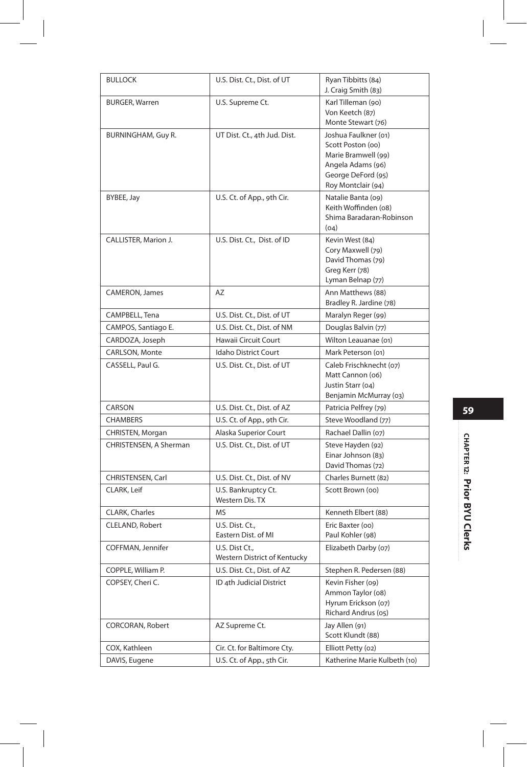| <b>BULLOCK</b>         | U.S. Dist. Ct., Dist. of UT                    | Ryan Tibbitts (84)<br>J. Craig Smith (83)                                                                                         |
|------------------------|------------------------------------------------|-----------------------------------------------------------------------------------------------------------------------------------|
| <b>BURGER, Warren</b>  | U.S. Supreme Ct.                               | Karl Tilleman (90)<br>Von Keetch (87)<br>Monte Stewart (76)                                                                       |
| BURNINGHAM, Guy R.     | UT Dist. Ct., 4th Jud. Dist.                   | Joshua Faulkner (01)<br>Scott Poston (oo)<br>Marie Bramwell (99)<br>Angela Adams (96)<br>George DeFord (95)<br>Roy Montclair (94) |
| BYBEE, Jay             | U.S. Ct. of App., 9th Cir.                     | Natalie Banta (09)<br>Keith Woffinden (08)<br>Shima Baradaran-Robinson<br>(04)                                                    |
| CALLISTER, Marion J.   | U.S. Dist. Ct., Dist. of ID                    | Kevin West (84)<br>Cory Maxwell (79)<br>David Thomas (79)<br>Greg Kerr (78)<br>Lyman Belnap (77)                                  |
| CAMERON, James         | AZ                                             | Ann Matthews (88)<br>Bradley R. Jardine (78)                                                                                      |
| CAMPBELL, Tena         | U.S. Dist. Ct., Dist. of UT                    | Maralyn Reger (99)                                                                                                                |
| CAMPOS, Santiago E.    | U.S. Dist. Ct., Dist. of NM                    | Douglas Balvin (77)                                                                                                               |
| CARDOZA, Joseph        | Hawaii Circuit Court                           | Wilton Leauanae (01)                                                                                                              |
| CARLSON, Monte         | Idaho District Court                           | Mark Peterson (01)                                                                                                                |
| CASSELL, Paul G.       | U.S. Dist. Ct., Dist. of UT                    | Caleb Frischknecht (07)<br>Matt Cannon (06)<br>Justin Starr (04)<br>Benjamin McMurray (03)                                        |
| CARSON                 | U.S. Dist. Ct., Dist. of AZ                    | Patricia Pelfrey (79)                                                                                                             |
| <b>CHAMBERS</b>        | U.S. Ct. of App., 9th Cir.                     | Steve Woodland (77)                                                                                                               |
| CHRISTEN, Morgan       | Alaska Superior Court                          | Rachael Dallin (07)                                                                                                               |
| CHRISTENSEN, A Sherman | U.S. Dist. Ct., Dist. of UT                    | Steve Hayden (92)<br>Einar Johnson (83)<br>David Thomas (72)                                                                      |
| CHRISTENSEN, Carl      | U.S. Dist. Ct., Dist. of NV                    | Charles Burnett (82)                                                                                                              |
| CLARK, Leif            | U.S. Bankruptcy Ct.<br>Western Dis. TX         | Scott Brown (oo)                                                                                                                  |
| CLARK, Charles         | <b>MS</b>                                      | Kenneth Elbert (88)                                                                                                               |
| CLELAND, Robert        | U.S. Dist. Ct.,<br>Eastern Dist. of MI         | Eric Baxter (oo)<br>Paul Kohler (98)                                                                                              |
| COFFMAN, Jennifer      | U.S. Dist Ct.,<br>Western District of Kentucky | Elizabeth Darby (07)                                                                                                              |
| COPPLE, William P.     | U.S. Dist. Ct., Dist. of AZ                    | Stephen R. Pedersen (88)                                                                                                          |
| COPSEY, Cheri C.       | ID 4th Judicial District                       | Kevin Fisher (o9)<br>Ammon Taylor (08)<br>Hyrum Erickson (07)<br>Richard Andrus (05)                                              |
| CORCORAN, Robert       | AZ Supreme Ct.                                 | Jay Allen (91)<br>Scott Klundt (88)                                                                                               |
| COX, Kathleen          | Cir. Ct. for Baltimore Cty.                    | Elliott Petty (02)                                                                                                                |
| DAVIS, Eugene          | U.S. Ct. of App., 5th Cir.                     | Katherine Marie Kulbeth (10)                                                                                                      |

 $\overline{\phantom{a}}$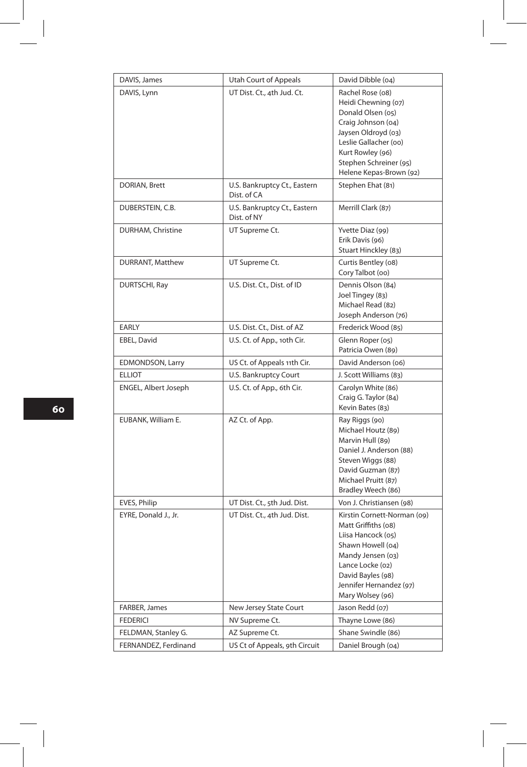| DAVIS, James            | <b>Utah Court of Appeals</b>                | David Dibble (04)                                                                                                                                                                                           |
|-------------------------|---------------------------------------------|-------------------------------------------------------------------------------------------------------------------------------------------------------------------------------------------------------------|
| DAVIS, Lynn             | UT Dist. Ct., 4th Jud. Ct.                  | Rachel Rose (08)<br>Heidi Chewning (07)<br>Donald Olsen (05)<br>Craig Johnson (04)<br>Jaysen Oldroyd (03)<br>Leslie Gallacher (00)<br>Kurt Rowley (96)<br>Stephen Schreiner (95)<br>Helene Kepas-Brown (92) |
| DORIAN, Brett           | U.S. Bankruptcy Ct., Eastern<br>Dist. of CA | Stephen Ehat (81)                                                                                                                                                                                           |
| DUBERSTEIN, C.B.        | U.S. Bankruptcy Ct., Eastern<br>Dist. of NY | Merrill Clark (87)                                                                                                                                                                                          |
| DURHAM, Christine       | UT Supreme Ct.                              | Yvette Diaz (99)<br>Erik Davis (96)<br>Stuart Hinckley (83)                                                                                                                                                 |
| DURRANT, Matthew        | UT Supreme Ct.                              | Curtis Bentley (08)<br>Cory Talbot (oo)                                                                                                                                                                     |
| DURTSCHI, Ray           | U.S. Dist. Ct., Dist. of ID                 | Dennis Olson (84)<br>Joel Tingey (83)<br>Michael Read (82)<br>Joseph Anderson (76)                                                                                                                          |
| EARLY                   | U.S. Dist. Ct., Dist. of AZ                 | Frederick Wood (85)                                                                                                                                                                                         |
| EBEL, David             | U.S. Ct. of App., 10th Cir.                 | Glenn Roper (05)<br>Patricia Owen (89)                                                                                                                                                                      |
| <b>EDMONDSON, Larry</b> | US Ct. of Appeals 11th Cir.                 | David Anderson (06)                                                                                                                                                                                         |
| <b>ELLIOT</b>           | U.S. Bankruptcy Court                       | J. Scott Williams (83)                                                                                                                                                                                      |
| ENGEL, Albert Joseph    | U.S. Ct. of App., 6th Cir.                  | Carolyn White (86)<br>Craig G. Taylor (84)<br>Kevin Bates (83)                                                                                                                                              |
| EUBANK, William E.      | AZ Ct. of App.                              | Ray Riggs (90)<br>Michael Houtz (89)<br>Marvin Hull (89)<br>Daniel J. Anderson (88)<br>Steven Wiggs (88)<br>David Guzman (87)<br>Michael Pruitt (87)<br>Bradley Weech (86)                                  |
| EVES, Philip            | UT Dist. Ct., 5th Jud. Dist.                | Von J. Christiansen (98)                                                                                                                                                                                    |
| EYRE, Donald J., Jr.    | UT Dist. Ct., 4th Jud. Dist.                | Kirstin Cornett-Norman (09)<br>Matt Griffiths (08)<br>Liisa Hancock (05)<br>Shawn Howell (04)<br>Mandy Jensen (03)<br>Lance Locke (02)<br>David Bayles (98)<br>Jennifer Hernandez (97)<br>Mary Wolsey (96)  |
| FARBER, James           | New Jersey State Court                      | Jason Redd (07)                                                                                                                                                                                             |
| <b>FEDERICI</b>         | NV Supreme Ct.                              | Thayne Lowe (86)                                                                                                                                                                                            |
| FELDMAN, Stanley G.     | AZ Supreme Ct.                              | Shane Swindle (86)                                                                                                                                                                                          |
| FERNANDEZ, Ferdinand    | US Ct of Appeals, 9th Circuit               | Daniel Brough (04)                                                                                                                                                                                          |

**60**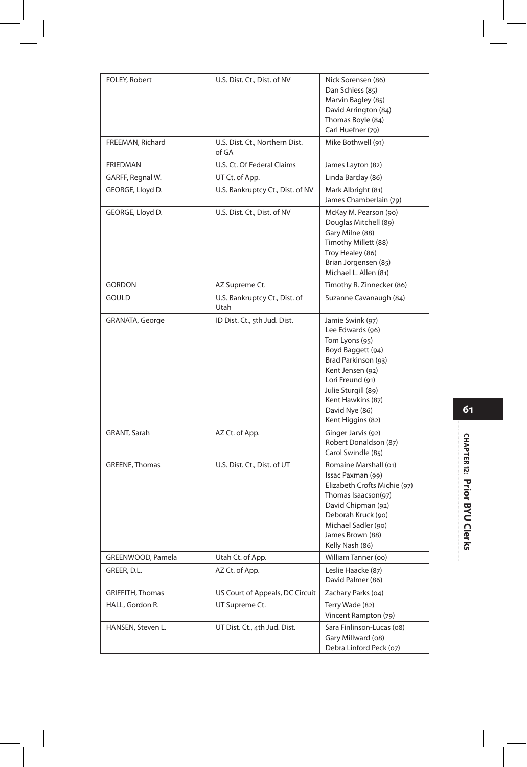| FOLEY, Robert     | U.S. Dist. Ct., Dist. of NV             | Nick Sorensen (86)<br>Dan Schiess (85)<br>Marvin Bagley (85)<br>David Arrington (84)<br>Thomas Boyle (84)<br>Carl Huefner (79)                                                                                                |
|-------------------|-----------------------------------------|-------------------------------------------------------------------------------------------------------------------------------------------------------------------------------------------------------------------------------|
| FREEMAN, Richard  | U.S. Dist. Ct., Northern Dist.<br>of GA | Mike Bothwell (91)                                                                                                                                                                                                            |
| <b>FRIEDMAN</b>   | U.S. Ct. Of Federal Claims              | James Layton (82)                                                                                                                                                                                                             |
| GARFF, Regnal W.  | UT Ct. of App.                          | Linda Barclay (86)                                                                                                                                                                                                            |
| GEORGE, Lloyd D.  | U.S. Bankruptcy Ct., Dist. of NV        | Mark Albright (81)<br>James Chamberlain (79)                                                                                                                                                                                  |
| GEORGE, Lloyd D.  | U.S. Dist. Ct., Dist. of NV             | McKay M. Pearson (90)<br>Douglas Mitchell (89)<br>Gary Milne (88)<br>Timothy Millett (88)<br>Troy Healey (86)<br>Brian Jorgensen (85)<br>Michael L. Allen (81)                                                                |
| <b>GORDON</b>     | AZ Supreme Ct.                          | Timothy R. Zinnecker (86)                                                                                                                                                                                                     |
| <b>GOULD</b>      | U.S. Bankruptcy Ct., Dist. of<br>Utah   | Suzanne Cavanaugh (84)                                                                                                                                                                                                        |
| GRANATA, George   | ID Dist. Ct., 5th Jud. Dist.            | Jamie Swink (97)<br>Lee Edwards (96)<br>Tom Lyons (95)<br>Boyd Baggett (94)<br>Brad Parkinson (93)<br>Kent Jensen (92)<br>Lori Freund (91)<br>Julie Sturgill (89)<br>Kent Hawkins (87)<br>David Nye (86)<br>Kent Higgins (82) |
| GRANT, Sarah      | AZ Ct. of App.                          | Ginger Jarvis (92)<br>Robert Donaldson (87)<br>Carol Swindle (85)                                                                                                                                                             |
| GREENE, Thomas    | U.S. Dist. Ct., Dist. of UT             | Romaine Marshall (01)<br>Issac Paxman (99)<br>Elizabeth Crofts Michie (97)<br>Thomas Isaacson(97)<br>David Chipman (92)<br>Deborah Kruck (90)<br>Michael Sadler (90)<br>James Brown (88)<br>Kelly Nash (86)                   |
| GREENWOOD, Pamela | Utah Ct. of App.                        | William Tanner (oo)                                                                                                                                                                                                           |
| GREER, D.L.       | AZ Ct. of App.                          | Leslie Haacke (87)<br>David Palmer (86)                                                                                                                                                                                       |
| GRIFFITH, Thomas  | US Court of Appeals, DC Circuit         | Zachary Parks (04)                                                                                                                                                                                                            |
| HALL, Gordon R.   | UT Supreme Ct.                          | Terry Wade (82)<br>Vincent Rampton (79)                                                                                                                                                                                       |
| HANSEN, Steven L. | UT Dist. Ct., 4th Jud. Dist.            | Sara Finlinson-Lucas (08)<br>Gary Millward (08)<br>Debra Linford Peck (07)                                                                                                                                                    |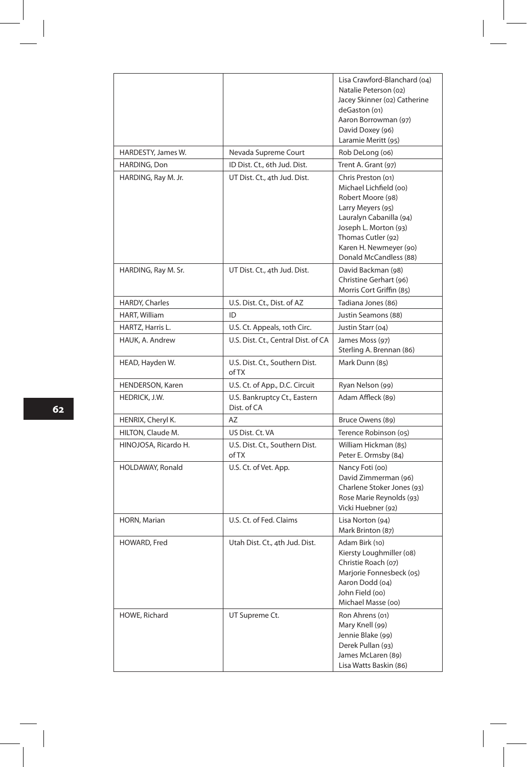|                      |                                             | Lisa Crawford-Blanchard (04)<br>Natalie Peterson (02)<br>Jacey Skinner (02) Catherine<br>deGaston (01)<br>Aaron Borrowman (97)<br>David Doxey (96)<br>Laramie Meritt (95)                                            |
|----------------------|---------------------------------------------|----------------------------------------------------------------------------------------------------------------------------------------------------------------------------------------------------------------------|
| HARDESTY, James W.   | Nevada Supreme Court                        | Rob DeLong (06)                                                                                                                                                                                                      |
| HARDING, Don         | ID Dist. Ct., 6th Jud. Dist.                | Trent A. Grant (97)                                                                                                                                                                                                  |
| HARDING, Ray M. Jr.  | UT Dist. Ct., 4th Jud. Dist.                | Chris Preston (01)<br>Michael Lichfield (oo)<br>Robert Moore (98)<br>Larry Meyers (95)<br>Lauralyn Cabanilla (94)<br>Joseph L. Morton (93)<br>Thomas Cutler (92)<br>Karen H. Newmeyer (90)<br>Donald McCandless (88) |
| HARDING, Ray M. Sr.  | UT Dist. Ct., 4th Jud. Dist.                | David Backman (98)<br>Christine Gerhart (96)<br>Morris Cort Griffin (85)                                                                                                                                             |
| HARDY, Charles       | U.S. Dist. Ct., Dist. of AZ                 | Tadiana Jones (86)                                                                                                                                                                                                   |
| HART, William        | ID                                          | Justin Seamons (88)                                                                                                                                                                                                  |
| HARTZ, Harris L.     | U.S. Ct. Appeals, 10th Circ.                | Justin Starr (04)                                                                                                                                                                                                    |
| HAUK, A. Andrew      | U.S. Dist. Ct., Central Dist. of CA         | James Moss (97)<br>Sterling A. Brennan (86)                                                                                                                                                                          |
| HEAD, Hayden W.      | U.S. Dist. Ct., Southern Dist.<br>of TX     | Mark Dunn (85)                                                                                                                                                                                                       |
| HENDERSON, Karen     | U.S. Ct. of App., D.C. Circuit              | Ryan Nelson (99)                                                                                                                                                                                                     |
| HEDRICK, J.W.        | U.S. Bankruptcy Ct., Eastern<br>Dist. of CA | Adam Affleck (89)                                                                                                                                                                                                    |
| HENRIX, Cheryl K.    | AZ                                          | Bruce Owens (89)                                                                                                                                                                                                     |
| HILTON, Claude M.    | US Dist. Ct. VA                             | Terence Robinson (05)                                                                                                                                                                                                |
| HINOJOSA, Ricardo H. | U.S. Dist. Ct., Southern Dist.<br>of TX     | William Hickman (85)<br>Peter E. Ormsby (84)                                                                                                                                                                         |
| HOLDAWAY, Ronald     | U.S. Ct. of Vet. App.                       | Nancy Foti (00)<br>David Zimmerman (96)<br>Charlene Stoker Jones (93)<br>Rose Marie Reynolds (93)<br>Vicki Huebner (92)                                                                                              |
| HORN, Marian         | U.S. Ct. of Fed. Claims                     | Lisa Norton (94)<br>Mark Brinton (87)                                                                                                                                                                                |
| HOWARD, Fred         | Utah Dist. Ct., 4th Jud. Dist.              | Adam Birk (10)<br>Kiersty Loughmiller (08)<br>Christie Roach (07)<br>Marjorie Fonnesbeck (05)<br>Aaron Dodd (04)<br>John Field (oo)<br>Michael Masse (00)                                                            |
| HOWE, Richard        | UT Supreme Ct.                              | Ron Ahrens (01)<br>Mary Knell (99)<br>Jennie Blake (99)<br>Derek Pullan (93)<br>James McLaren (89)<br>Lisa Watts Baskin (86)                                                                                         |

 $\overline{\phantom{a}}$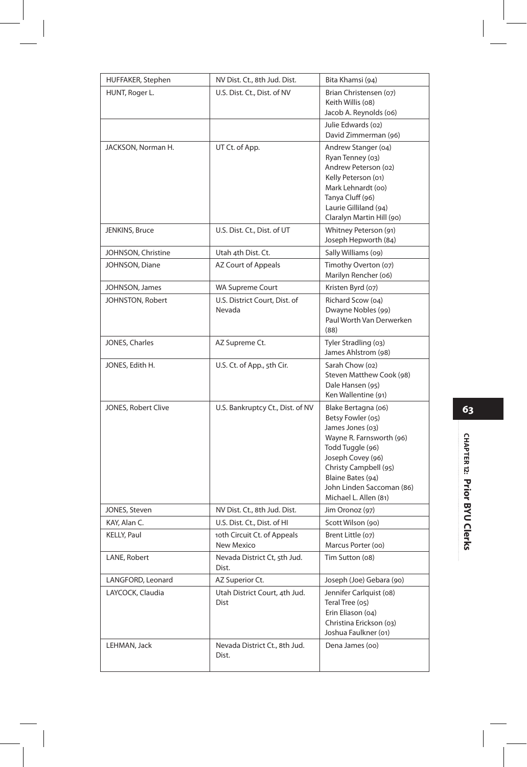| HUFFAKER, Stephen   | NV Dist. Ct., 8th Jud. Dist.              | Bita Khamsi (94)                                                                                                                                                                                                                      |
|---------------------|-------------------------------------------|---------------------------------------------------------------------------------------------------------------------------------------------------------------------------------------------------------------------------------------|
| HUNT, Roger L.      | U.S. Dist. Ct., Dist. of NV               | Brian Christensen (07)<br>Keith Willis (08)<br>Jacob A. Reynolds (06)                                                                                                                                                                 |
|                     |                                           | Julie Edwards (02)<br>David Zimmerman (96)                                                                                                                                                                                            |
| JACKSON, Norman H.  | UT Ct. of App.                            | Andrew Stanger (04)<br>Ryan Tenney (03)<br>Andrew Peterson (02)<br>Kelly Peterson (01)<br>Mark Lehnardt (oo)<br>Tanya Cluff (96)<br>Laurie Gilliland (94)<br>Claralyn Martin Hill (90)                                                |
| JENKINS, Bruce      | U.S. Dist. Ct., Dist. of UT               | Whitney Peterson (91)<br>Joseph Hepworth (84)                                                                                                                                                                                         |
| JOHNSON, Christine  | Utah 4th Dist. Ct.                        | Sally Williams (09)                                                                                                                                                                                                                   |
| JOHNSON, Diane      | AZ Court of Appeals                       | Timothy Overton (07)<br>Marilyn Rencher (06)                                                                                                                                                                                          |
| JOHNSON, James      | <b>WA Supreme Court</b>                   | Kristen Byrd (07)                                                                                                                                                                                                                     |
| JOHNSTON, Robert    | U.S. District Court, Dist. of<br>Nevada   | Richard Scow (04)<br>Dwayne Nobles (99)<br>Paul Worth Van Derwerken<br>(88)                                                                                                                                                           |
| JONES, Charles      | AZ Supreme Ct.                            | Tyler Stradling (03)<br>James Ahlstrom (98)                                                                                                                                                                                           |
| JONES, Edith H.     | U.S. Ct. of App., 5th Cir.                | Sarah Chow (02)<br>Steven Matthew Cook (98)<br>Dale Hansen (95)<br>Ken Wallentine (91)                                                                                                                                                |
| JONES, Robert Clive | U.S. Bankruptcy Ct., Dist. of NV          | Blake Bertagna (06)<br>Betsy Fowler (05)<br>James Jones (03)<br>Wayne R. Farnsworth (96)<br>Todd Tuggle (96)<br>Joseph Covey (96)<br>Christy Campbell (95)<br>Blaine Bates (94)<br>John Linden Saccoman (86)<br>Michael L. Allen (81) |
| JONES, Steven       | NV Dist. Ct., 8th Jud. Dist.              | Jim Oronoz (97)                                                                                                                                                                                                                       |
| KAY, Alan C.        | U.S. Dist. Ct., Dist. of HI               | Scott Wilson (90)                                                                                                                                                                                                                     |
| KELLY, Paul         | 10th Circuit Ct. of Appeals<br>New Mexico | Brent Little (07)<br>Marcus Porter (00)                                                                                                                                                                                               |
| LANE, Robert        | Nevada District Ct, 5th Jud.<br>Dist.     | Tim Sutton (08)                                                                                                                                                                                                                       |
| LANGFORD, Leonard   | AZ Superior Ct.                           | Joseph (Joe) Gebara (90)                                                                                                                                                                                                              |
| LAYCOCK, Claudia    | Utah District Court, 4th Jud.<br>Dist     | Jennifer Carlquist (08)<br>Teral Tree (05)<br>Erin Eliason (04)<br>Christina Erickson (03)<br>Joshua Faulkner (01)                                                                                                                    |
| LEHMAN, Jack        | Nevada District Ct., 8th Jud.<br>Dist.    | Dena James (00)                                                                                                                                                                                                                       |

## CHAPTER 12: Prior BYU Clerks **CHAPTER 12: Prior BYU Clerks**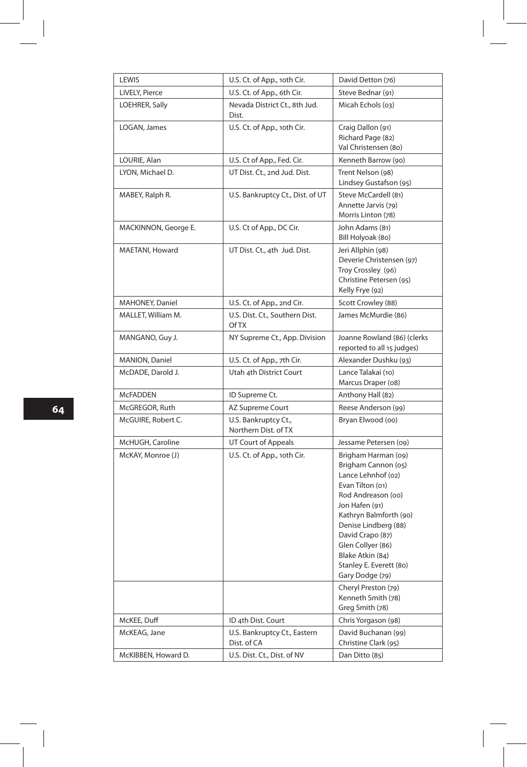| LEWIS                 | U.S. Ct. of App., 10th Cir.                    | David Detton (76)                                                                                                                                                                                                                                                                                                                                         |
|-----------------------|------------------------------------------------|-----------------------------------------------------------------------------------------------------------------------------------------------------------------------------------------------------------------------------------------------------------------------------------------------------------------------------------------------------------|
| LIVELY, Pierce        | U.S. Ct. of App., 6th Cir.                     | Steve Bednar (91)                                                                                                                                                                                                                                                                                                                                         |
| LOEHRER, Sally        | Nevada District Ct., 8th Jud.<br>Dist.         | Micah Echols (03)                                                                                                                                                                                                                                                                                                                                         |
| LOGAN, James          | U.S. Ct. of App., 10th Cir.                    | Craig Dallon (91)<br>Richard Page (82)<br>Val Christensen (80)                                                                                                                                                                                                                                                                                            |
| LOURIE, Alan          | U.S. Ct of App., Fed. Cir.                     | Kenneth Barrow (90)                                                                                                                                                                                                                                                                                                                                       |
| LYON, Michael D.      | UT Dist. Ct., 2nd Jud. Dist.                   | Trent Nelson (98)<br>Lindsey Gustafson (95)                                                                                                                                                                                                                                                                                                               |
| MABEY, Ralph R.       | U.S. Bankruptcy Ct., Dist. of UT               | Steve McCardell (81)<br>Annette Jarvis (79)<br>Morris Linton (78)                                                                                                                                                                                                                                                                                         |
| MACKINNON, George E.  | U.S. Ct of App., DC Cir.                       | John Adams (81)<br>Bill Holyoak (80)                                                                                                                                                                                                                                                                                                                      |
| MAETANI, Howard       | UT Dist. Ct., 4th Jud. Dist.                   | Jeri Allphin (98)<br>Deverie Christensen (97)<br>Troy Crossley (96)<br>Christine Petersen (95)<br>Kelly Frye (92)                                                                                                                                                                                                                                         |
| MAHONEY, Daniel       | U.S. Ct. of App., 2nd Cir.                     | Scott Crowley (88)                                                                                                                                                                                                                                                                                                                                        |
| MALLET, William M.    | U.S. Dist. Ct., Southern Dist.<br><b>Of TX</b> | James McMurdie (86)                                                                                                                                                                                                                                                                                                                                       |
| MANGANO, Guy J.       | NY Supreme Ct., App. Division                  | Joanne Rowland (86) (clerks<br>reported to all 15 judges)                                                                                                                                                                                                                                                                                                 |
| <b>MANION, Daniel</b> | U.S. Ct. of App., 7th Cir.                     | Alexander Dushku (93)                                                                                                                                                                                                                                                                                                                                     |
| McDADE, Darold J.     | Utah 4th District Court                        | Lance Talakai (10)<br>Marcus Draper (08)                                                                                                                                                                                                                                                                                                                  |
| <b>McFADDEN</b>       | ID Supreme Ct.                                 | Anthony Hall (82)                                                                                                                                                                                                                                                                                                                                         |
| McGREGOR, Ruth        | AZ Supreme Court                               | Reese Anderson (99)                                                                                                                                                                                                                                                                                                                                       |
| McGUIRE, Robert C.    | U.S. Bankruptcy Ct.,<br>Northern Dist. of TX   | Bryan Elwood (oo)                                                                                                                                                                                                                                                                                                                                         |
| McHUGH, Caroline      | UT Court of Appeals                            | Jessame Petersen (09)                                                                                                                                                                                                                                                                                                                                     |
| McKAY, Monroe (J)     | U.S. Ct. of App., 10th Cir.                    | Brigham Harman (09)<br>Brigham Cannon (05)<br>Lance Lehnhof (02)<br>Evan Tilton (01)<br>Rod Andreason (oo)<br>Jon Hafen (91)<br>Kathryn Balmforth (90)<br>Denise Lindberg (88)<br>David Crapo (87)<br>Glen Collyer (86)<br>Blake Atkin (84)<br>Stanley E. Everett (80)<br>Gary Dodge (79)<br>Cheryl Preston (79)<br>Kenneth Smith (78)<br>Greg Smith (78) |
| McKEE, Duff           | ID 4th Dist. Court                             | Chris Yorgason (98)                                                                                                                                                                                                                                                                                                                                       |
| McKEAG, Jane          | U.S. Bankruptcy Ct., Eastern<br>Dist. of CA    | David Buchanan (99)<br>Christine Clark (95)                                                                                                                                                                                                                                                                                                               |
| McKIBBEN, Howard D.   | U.S. Dist. Ct., Dist. of NV                    | Dan Ditto (85)                                                                                                                                                                                                                                                                                                                                            |

 $\overline{\phantom{a}}$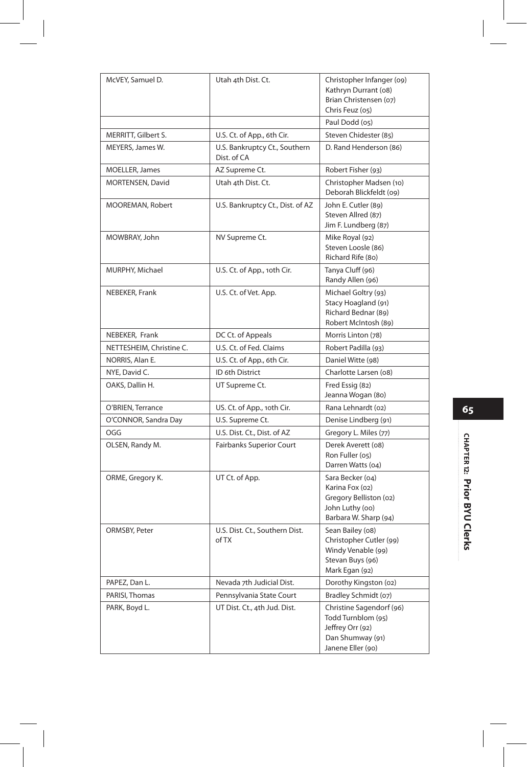| McVEY, Samuel D.         | Utah 4th Dist. Ct.                           | Christopher Infanger (09)<br>Kathryn Durrant (08)<br>Brian Christensen (07)<br>Chris Feuz (05)              |
|--------------------------|----------------------------------------------|-------------------------------------------------------------------------------------------------------------|
|                          |                                              | Paul Dodd (05)                                                                                              |
| MERRITT, Gilbert S.      | U.S. Ct. of App., 6th Cir.                   | Steven Chidester (85)                                                                                       |
| MEYERS, James W.         | U.S. Bankruptcy Ct., Southern<br>Dist. of CA | D. Rand Henderson (86)                                                                                      |
| MOELLER, James           | AZ Supreme Ct.                               | Robert Fisher (93)                                                                                          |
| MORTENSEN, David         | Utah 4th Dist. Ct.                           | Christopher Madsen (10)<br>Deborah Blickfeldt (09)                                                          |
| MOOREMAN, Robert         | U.S. Bankruptcy Ct., Dist. of AZ             | John E. Cutler (89)<br>Steven Allred (87)<br>Jim F. Lundberg (87)                                           |
| MOWBRAY, John            | NV Supreme Ct.                               | Mike Royal (92)<br>Steven Loosle (86)<br>Richard Rife (80)                                                  |
| MURPHY, Michael          | U.S. Ct. of App., 10th Cir.                  | Tanya Cluff (96)<br>Randy Allen (96)                                                                        |
| NEBEKER, Frank           | U.S. Ct. of Vet. App.                        | Michael Goltry (93)<br>Stacy Hoagland (91)<br>Richard Bednar (89)<br>Robert McIntosh (89)                   |
| NEBEKER, Frank           | DC Ct. of Appeals                            | Morris Linton (78)                                                                                          |
| NETTESHEIM, Christine C. | U.S. Ct. of Fed. Claims                      | Robert Padilla (93)                                                                                         |
| NORRIS, Alan E.          | U.S. Ct. of App., 6th Cir.                   | Daniel Witte (98)                                                                                           |
| NYE, David C.            | ID 6th District                              | Charlotte Larsen (08)                                                                                       |
| OAKS, Dallin H.          | UT Supreme Ct.                               | Fred Essig (82)<br>Jeanna Wogan (80)                                                                        |
| O'BRIEN, Terrance        | US. Ct. of App., 10th Cir.                   | Rana Lehnardt (02)                                                                                          |
| O'CONNOR, Sandra Day     | U.S. Supreme Ct.                             | Denise Lindberg (91)                                                                                        |
| OGG                      | U.S. Dist. Ct., Dist. of AZ                  | Gregory L. Miles (77)                                                                                       |
| OLSEN, Randy M.          | Fairbanks Superior Court                     | Derek Averett (08)<br>Ron Fuller (05)<br>Darren Watts (04)                                                  |
| ORME, Gregory K.         | UT Ct. of App.                               | Sara Becker (04)<br>Karina Fox (02)<br>Gregory Belliston (02)<br>John Luthy (00)<br>Barbara W. Sharp (94)   |
| ORMSBY, Peter            | U.S. Dist. Ct., Southern Dist.<br>of TX      | Sean Bailey (08)<br>Christopher Cutler (99)<br>Windy Venable (99)<br>Stevan Buys (96)<br>Mark Egan (92)     |
| PAPEZ, Dan L.            | Nevada 7th Judicial Dist.                    | Dorothy Kingston (02)                                                                                       |
| PARISI, Thomas           | Pennsylvania State Court                     | Bradley Schmidt (07)                                                                                        |
| PARK, Boyd L.            | UT Dist. Ct., 4th Jud. Dist.                 | Christine Sagendorf (96)<br>Todd Turnblom (95)<br>Jeffrey Orr (92)<br>Dan Shumway (91)<br>Janene Eller (90) |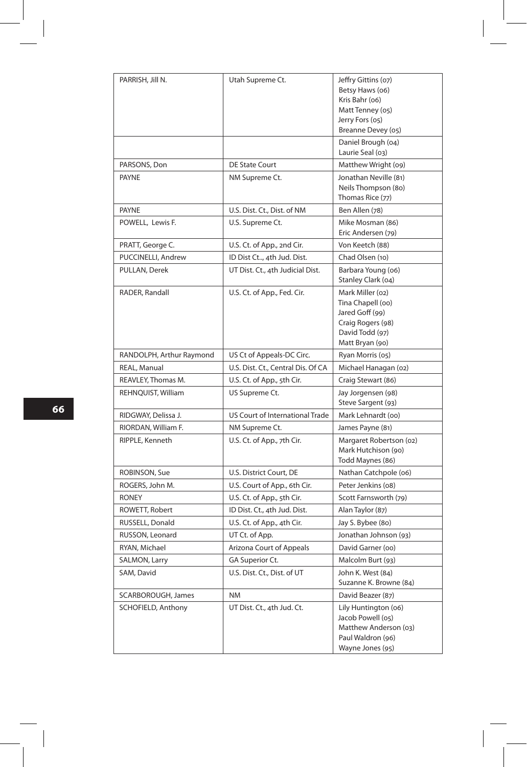| PARRISH, Jill N.         | Utah Supreme Ct.                   | Jeffry Gittins (07)<br>Betsy Haws (06)<br>Kris Bahr (06)<br>Matt Tenney (05)<br>Jerry Fors (05)<br>Breanne Devey (05) |
|--------------------------|------------------------------------|-----------------------------------------------------------------------------------------------------------------------|
|                          |                                    | Daniel Brough (04)<br>Laurie Seal (03)                                                                                |
| PARSONS, Don             | <b>DE State Court</b>              | Matthew Wright (09)                                                                                                   |
| <b>PAYNE</b>             | NM Supreme Ct.                     | Jonathan Neville (81)<br>Neils Thompson (80)<br>Thomas Rice (77)                                                      |
| <b>PAYNE</b>             | U.S. Dist. Ct., Dist. of NM        | Ben Allen (78)                                                                                                        |
| POWELL, Lewis F.         | U.S. Supreme Ct.                   | Mike Mosman (86)<br>Eric Andersen (79)                                                                                |
| PRATT, George C.         | U.S. Ct. of App., 2nd Cir.         | Von Keetch (88)                                                                                                       |
| PUCCINELLI, Andrew       | ID Dist Ct, 4th Jud. Dist.         | Chad Olsen (10)                                                                                                       |
| PULLAN, Derek            | UT Dist. Ct., 4th Judicial Dist.   | Barbara Young (06)<br>Stanley Clark (04)                                                                              |
| RADER, Randall           | U.S. Ct. of App., Fed. Cir.        | Mark Miller (02)<br>Tina Chapell (00)<br>Jared Goff (99)<br>Craig Rogers (98)<br>David Todd (97)<br>Matt Bryan (90)   |
| RANDOLPH, Arthur Raymond | US Ct of Appeals-DC Circ.          | Ryan Morris (05)                                                                                                      |
| REAL, Manual             | U.S. Dist. Ct., Central Dis. Of CA | Michael Hanagan (02)                                                                                                  |
| REAVLEY, Thomas M.       | U.S. Ct. of App., 5th Cir.         | Craig Stewart (86)                                                                                                    |
| REHNQUIST, William       | US Supreme Ct.                     | Jay Jorgensen (98)<br>Steve Sargent (93)                                                                              |
| RIDGWAY, Delissa J.      | US Court of International Trade    | Mark Lehnardt (oo)                                                                                                    |
| RIORDAN, William F.      | NM Supreme Ct.                     | James Payne (81)                                                                                                      |
| RIPPLE, Kenneth          | U.S. Ct. of App., 7th Cir.         | Margaret Robertson (02)<br>Mark Hutchison (90)<br>Todd Maynes (86)                                                    |
| ROBINSON, Sue            | U.S. District Court, DE            | Nathan Catchpole (06)                                                                                                 |
| ROGERS, John M.          | U.S. Court of App., 6th Cir.       | Peter Jenkins (08)                                                                                                    |
| <b>RONEY</b>             | U.S. Ct. of App., 5th Cir.         | Scott Farnsworth (79)                                                                                                 |
| ROWETT, Robert           | ID Dist. Ct., 4th Jud. Dist.       | Alan Taylor (87)                                                                                                      |
| RUSSELL, Donald          | U.S. Ct. of App., 4th Cir.         | Jay S. Bybee (80)                                                                                                     |
| RUSSON, Leonard          | UT Ct. of App.                     | Jonathan Johnson (93)                                                                                                 |
| RYAN, Michael            | Arizona Court of Appeals           | David Garner (oo)                                                                                                     |
| SALMON, Larry            | GA Superior Ct.                    | Malcolm Burt (93)                                                                                                     |
| SAM, David               | U.S. Dist. Ct., Dist. of UT        | John K. West (84)<br>Suzanne K. Browne (84)                                                                           |
| SCARBOROUGH, James       | <b>NM</b>                          | David Beazer (87)                                                                                                     |
| SCHOFIELD, Anthony       | UT Dist. Ct., 4th Jud. Ct.         | Lily Huntington (06)<br>Jacob Powell (05)<br>Matthew Anderson (03)<br>Paul Waldron (96)<br>Wayne Jones (95)           |

 $\overline{\phantom{a}}$ 

 $\begin{array}{|c|c|} \hline \rule{0pt}{12pt} \rule{0pt}{2.5pt} \rule{0pt}{2.5pt} \rule{0pt}{2.5pt} \rule{0pt}{2.5pt} \rule{0pt}{2.5pt} \rule{0pt}{2.5pt} \rule{0pt}{2.5pt} \rule{0pt}{2.5pt} \rule{0pt}{2.5pt} \rule{0pt}{2.5pt} \rule{0pt}{2.5pt} \rule{0pt}{2.5pt} \rule{0pt}{2.5pt} \rule{0pt}{2.5pt} \rule{0pt}{2.5pt} \rule{0pt}{2.5pt} \rule{0pt}{2.5pt} \rule{0pt}{2.5$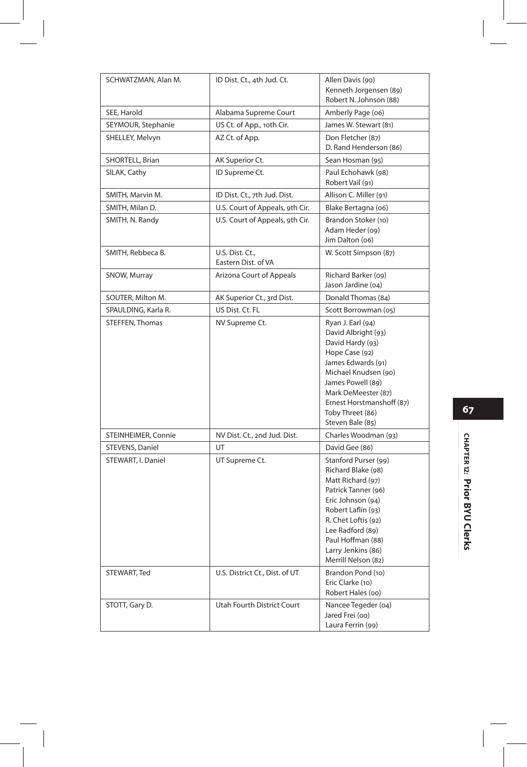| SCHWATZMAN, Alan M. | ID Dist. Ct., 4th Jud. Ct.             | Allen Davis (90)<br>Kenneth Jorgensen (89)<br>Robert N. Johnson (88)                                                                                                                                                                           |
|---------------------|----------------------------------------|------------------------------------------------------------------------------------------------------------------------------------------------------------------------------------------------------------------------------------------------|
| SEE, Harold         | Alabama Supreme Court                  | Amberly Page (06)                                                                                                                                                                                                                              |
| SEYMOUR, Stephanie  | US Ct. of App., 10th Cir.              | James W. Stewart (81)                                                                                                                                                                                                                          |
| SHELLEY, Melvyn     | AZ Ct. of App.                         | Don Fletcher (87)<br>D. Rand Henderson (86)                                                                                                                                                                                                    |
| SHORTELL, Brian     | AK Superior Ct.                        | Sean Hosman (95)                                                                                                                                                                                                                               |
| SILAK, Cathy        | ID Supreme Ct.                         | Paul Echohawk (98)<br>Robert Vail (91)                                                                                                                                                                                                         |
| SMITH, Marvin M.    | ID Dist. Ct., 7th Jud. Dist.           | Allison C. Miller (91)                                                                                                                                                                                                                         |
| SMITH, Milan D.     | U.S. Court of Appeals, 9th Cir.        | Blake Bertagna (06)                                                                                                                                                                                                                            |
| SMITH, N. Randy     | U.S. Court of Appeals, 9th Cir.        | Brandon Stoker (10)<br>Adam Heder (09)<br>Jim Dalton (06)                                                                                                                                                                                      |
| SMITH, Rebbeca B.   | U.S. Dist. Ct.,<br>Eastern Dist. of VA | W. Scott Simpson (87)                                                                                                                                                                                                                          |
| SNOW, Murray        | Arizona Court of Appeals               | Richard Barker (09)<br>Jason Jardine (04)                                                                                                                                                                                                      |
| SOUTER, Milton M.   | AK Superior Ct., 3rd Dist.             | Donald Thomas (84)                                                                                                                                                                                                                             |
| SPAULDING, Karla R. | US Dist. Ct. FL                        | Scott Borrowman (05)                                                                                                                                                                                                                           |
| STEFFEN, Thomas     | NV Supreme Ct.                         | Ryan J. Earl (94)<br>David Albright (93)<br>David Hardy (93)<br>Hope Case (92)<br>James Edwards (91)<br>Michael Knudsen (90)<br>James Powell (89)<br>Mark DeMeester (87)<br>Ernest Horstmanshoff (87)<br>Toby Threet (86)<br>Steven Bale (85)  |
| STEINHEIMER, Connie | NV Dist. Ct., 2nd Jud. Dist.           | Charles Woodman (93)                                                                                                                                                                                                                           |
| STEVENS, Daniel     | UT                                     | David Gee (86)                                                                                                                                                                                                                                 |
| STEWART, I. Daniel  | UT Supreme Ct.                         | Stanford Purser (99)<br>Richard Blake (98)<br>Matt Richard (97)<br>Patrick Tanner (96)<br>Eric Johnson (94)<br>Robert Laflin (93)<br>R. Chet Loftis (92)<br>Lee Radford (89)<br>Paul Hoffman (88)<br>Larry Jenkins (86)<br>Merrill Nelson (82) |
| STEWART, Ted        | U.S. District Ct., Dist. of UT         | Brandon Pond (10)<br>Eric Clarke (10)<br>Robert Hales (oo)                                                                                                                                                                                     |
| STOTT, Gary D.      | Utah Fourth District Court             | Nancee Tegeder (04)<br>Jared Frei (00)<br>Laura Ferrin (99)                                                                                                                                                                                    |

 $\overline{\phantom{a}}$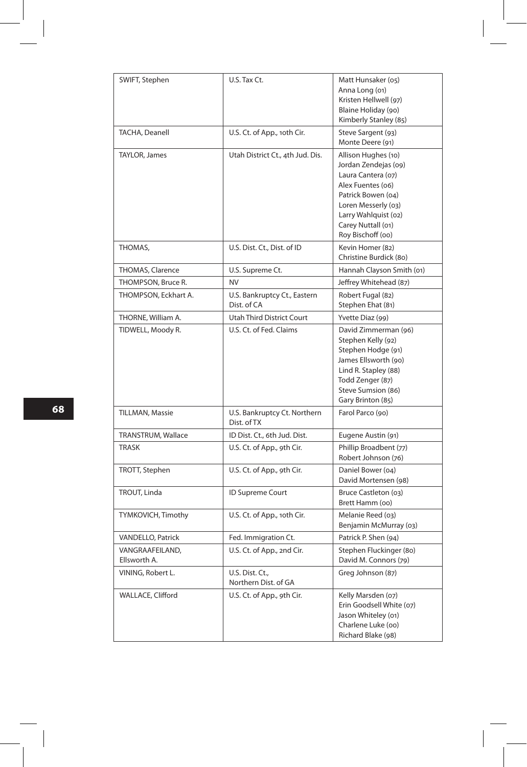| SWIFT, Stephen                  | U.S. Tax Ct.                                | Matt Hunsaker (05)<br>Anna Long (01)<br>Kristen Hellwell (97)<br>Blaine Holiday (90)<br>Kimberly Stanley (85)                                                                                          |
|---------------------------------|---------------------------------------------|--------------------------------------------------------------------------------------------------------------------------------------------------------------------------------------------------------|
| TACHA, Deanell                  | U.S. Ct. of App., 10th Cir.                 | Steve Sargent (93)<br>Monte Deere (91)                                                                                                                                                                 |
| TAYLOR, James                   | Utah District Ct., 4th Jud. Dis.            | Allison Hughes (10)<br>Jordan Zendejas (09)<br>Laura Cantera (07)<br>Alex Fuentes (06)<br>Patrick Bowen (04)<br>Loren Messerly (03)<br>Larry Wahlquist (02)<br>Carey Nuttall (01)<br>Roy Bischoff (oo) |
| THOMAS,                         | U.S. Dist. Ct., Dist. of ID                 | Kevin Homer (82)<br>Christine Burdick (80)                                                                                                                                                             |
| THOMAS, Clarence                | U.S. Supreme Ct.                            | Hannah Clayson Smith (01)                                                                                                                                                                              |
| THOMPSON, Bruce R.              | <b>NV</b>                                   | Jeffrey Whitehead (87)                                                                                                                                                                                 |
| THOMPSON, Eckhart A.            | U.S. Bankruptcy Ct., Eastern<br>Dist. of CA | Robert Fugal (82)<br>Stephen Ehat (81)                                                                                                                                                                 |
| THORNE, William A.              | <b>Utah Third District Court</b>            | Yvette Diaz (99)                                                                                                                                                                                       |
| TIDWELL, Moody R.               | U.S. Ct. of Fed. Claims                     | David Zimmerman (96)<br>Stephen Kelly (92)<br>Stephen Hodge (91)<br>James Ellsworth (90)<br>Lind R. Stapley (88)<br>Todd Zenger (87)<br>Steve Sumsion (86)<br>Gary Brinton (85)                        |
| <b>TILLMAN, Massie</b>          | U.S. Bankruptcy Ct. Northern<br>Dist. of TX | Farol Parco (90)                                                                                                                                                                                       |
| TRANSTRUM, Wallace              | ID Dist. Ct., 6th Jud. Dist.                | Eugene Austin (91)                                                                                                                                                                                     |
| <b>TRASK</b>                    | U.S. Ct. of App., 9th Cir.                  | Phillip Broadbent (77)<br>Robert Johnson (76)                                                                                                                                                          |
| TROTT, Stephen                  | U.S. Ct. of App., 9th Cir.                  | Daniel Bower (04)<br>David Mortensen (98)                                                                                                                                                              |
| TROUT, Linda                    | ID Supreme Court                            | Bruce Castleton (03)<br>Brett Hamm (00)                                                                                                                                                                |
| TYMKOVICH, Timothy              | U.S. Ct. of App., 10th Cir.                 | Melanie Reed (03)<br>Benjamin McMurray (03)                                                                                                                                                            |
| VANDELLO, Patrick               | Fed. Immigration Ct.                        | Patrick P. Shen (94)                                                                                                                                                                                   |
| VANGRAAFEILAND,<br>Ellsworth A. | U.S. Ct. of App., 2nd Cir.                  | Stephen Fluckinger (80)<br>David M. Connors (79)                                                                                                                                                       |
| VINING, Robert L.               | U.S. Dist. Ct.,<br>Northern Dist. of GA     | Greg Johnson (87)                                                                                                                                                                                      |
| WALLACE, Clifford               | U.S. Ct. of App., 9th Cir.                  | Kelly Marsden (07)<br>Erin Goodsell White (07)<br>Jason Whiteley (01)<br>Charlene Luke (00)<br>Richard Blake (98)                                                                                      |

I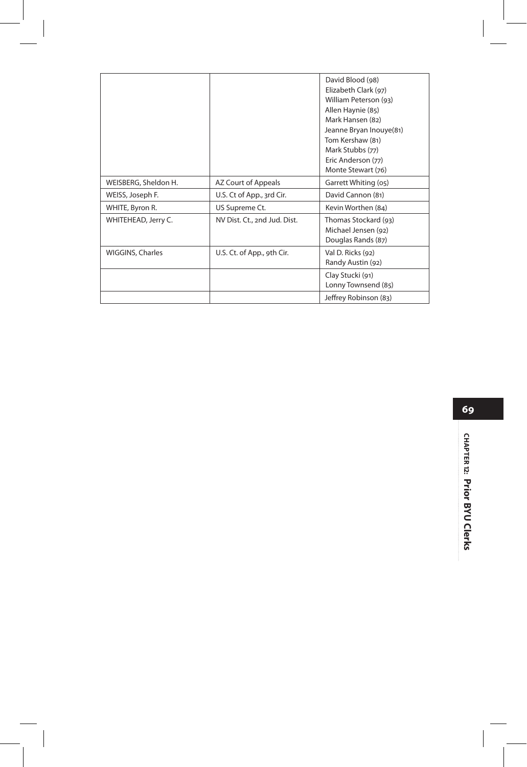|                      |                              | David Blood (98)<br>Elizabeth Clark (97)<br>William Peterson (93)<br>Allen Haynie (85)<br>Mark Hansen (82)<br>Jeanne Bryan Inouye(81)<br>Tom Kershaw (81)<br>Mark Stubbs (77)<br>Eric Anderson (77) |
|----------------------|------------------------------|-----------------------------------------------------------------------------------------------------------------------------------------------------------------------------------------------------|
|                      |                              | Monte Stewart (76)                                                                                                                                                                                  |
| WEISBERG, Sheldon H. | AZ Court of Appeals          | Garrett Whiting (05)                                                                                                                                                                                |
| WEISS, Joseph F.     | U.S. Ct of App., 3rd Cir.    | David Cannon (81)                                                                                                                                                                                   |
| WHITE, Byron R.      | US Supreme Ct.               | Kevin Worthen (84)                                                                                                                                                                                  |
| WHITEHEAD, Jerry C.  | NV Dist. Ct., 2nd Jud. Dist. | Thomas Stockard (93)<br>Michael Jensen (92)<br>Douglas Rands (87)                                                                                                                                   |
| WIGGINS, Charles     | U.S. Ct. of App., 9th Cir.   | Val D. Ricks (92)<br>Randy Austin (92)                                                                                                                                                              |
|                      |                              | Clay Stucki (91)<br>Lonny Townsend (85)                                                                                                                                                             |
|                      |                              | Jeffrey Robinson (83)                                                                                                                                                                               |

**69**